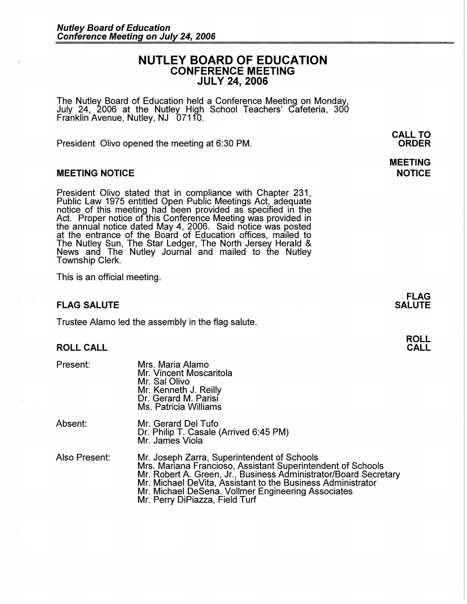# **NUTLEY BOARD OF EDUCATION CONFERENCE MEETING JULY 24, 2006**

The Nutley Board of Education held a Conference Meeting on Monday, July 24, 2006 at the Nutley High School Teachers' Cafeteria, 300 Franklin Avenue, Nutley, NJ 071 fO.

President Olivo opened the meeting at 6:30 PM.

### **MEETING NOTICE**

President Olivo stated that in compliance with Chapter 231, Public Law 1975 entitled Open Public Meetings Act, adequate notice of this meeting had been provided as specified in the Act. Proper notice of this Conference Meeting was provided in the annual notice dated May 4, 2006. Said notice was posted at the entrance of the Board of Education offices, mailed to The Nutley Sun, The Star Ledger, The North Jersey Herald & News and The Nutley Journal and mailed to the Nutley Township Clerk.

This is an official meeting.

### **FLAG SALUTE**

Trustee Alamo led the assembly in the flag salute.

#### **ROLL CALL**

Present:

Mrs. Maria Alamo Mr. Vincent Moscaritola Mr. Sal Olivo Mr. Kenneth J. Reilly Dr. Gerard M. Parisi Ms. Patricia Williams

Absent:

Mr. Gerard Del Tufo Dr. Philip T. Casale (Arrived 6:45 PM) Mr. James Viola

Also Present:

Mr. Joseph Zarra, Superintendent of Schools Mrs. Mariana Franciosa, Assistant Superintendent of Schools Mr. Robert A. Green, Jr., Business Administrator/Board Secretary Mr. Michael De Vita, Assistant to the Business Administrator Mr. Michael Desena. Vollmer Engineering Associates Mr. Perry DiPiazza, Field Turf

**CALL TO ORDER** 

## **MEETING NOTICE**

**FLAG SALUTE** 

> **ROLL CALL**